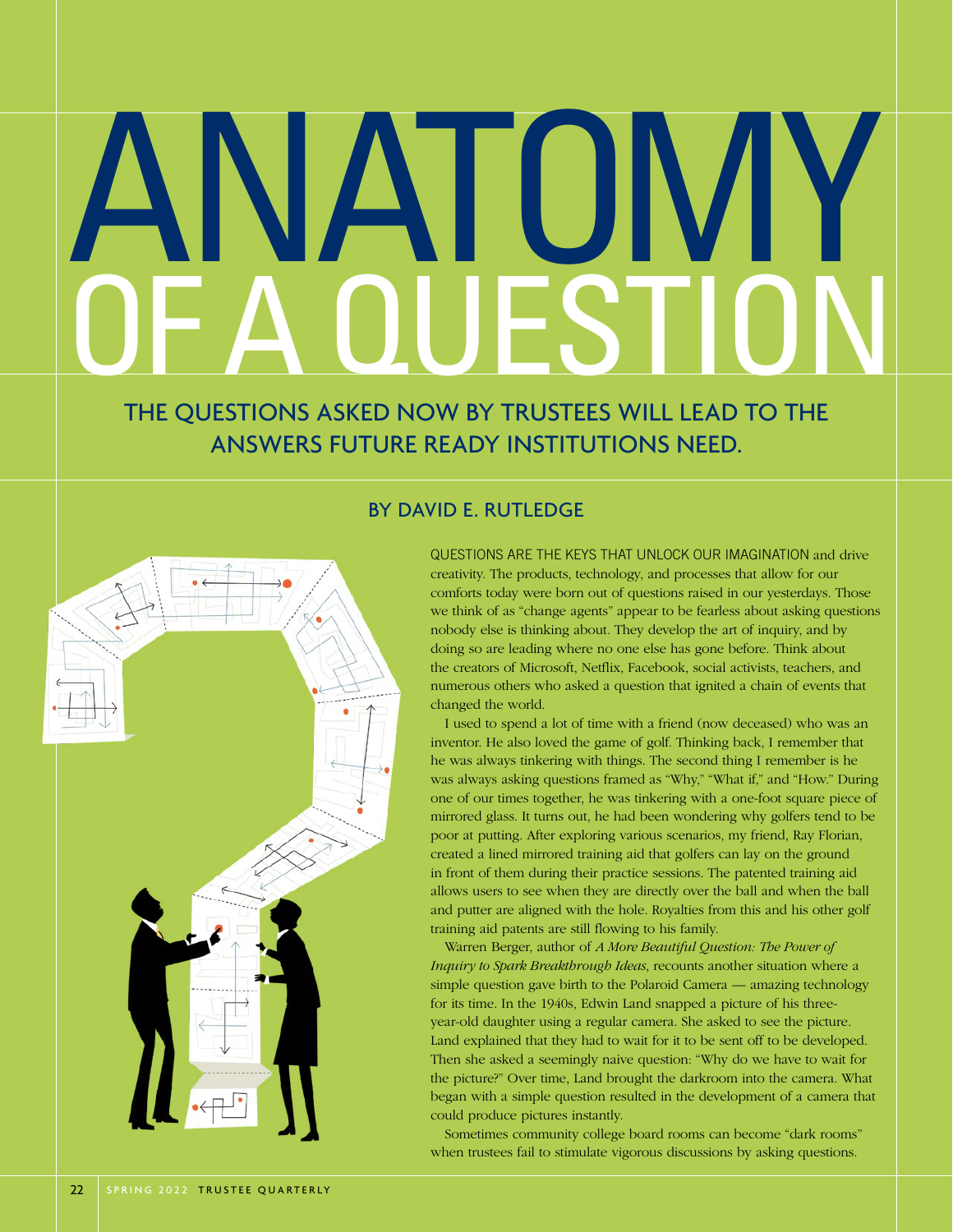## ANATOMY OF A QUESTION

THE QUESTIONS ASKED NOW BY TRUSTEES WILL LEAD TO THE ANSWERS FUTURE READY INSTITUTIONS NEED.

## BY DAVID E. RUTLEDGE

QUESTIONS ARE THE KEYS THAT UNLOCK OUR IMAGINATION and drive creativity. The products, technology, and processes that allow for our comforts today were born out of questions raised in our yesterdays. Those we think of as "change agents" appear to be fearless about asking questions nobody else is thinking about. They develop the art of inquiry, and by doing so are leading where no one else has gone before. Think about the creators of Microsoft, Netflix, Facebook, social activists, teachers, and numerous others who asked a question that ignited a chain of events that changed the world.

I used to spend a lot of time with a friend (now deceased) who was an inventor. He also loved the game of golf. Thinking back, I remember that he was always tinkering with things. The second thing I remember is he was always asking questions framed as "Why," "What if," and "How." During one of our times together, he was tinkering with a one-foot square piece of mirrored glass. It turns out, he had been wondering why golfers tend to be poor at putting. After exploring various scenarios, my friend, Ray Florian, created a lined mirrored training aid that golfers can lay on the ground in front of them during their practice sessions. The patented training aid allows users to see when they are directly over the ball and when the ball and putter are aligned with the hole. Royalties from this and his other golf training aid patents are still flowing to his family.

Warren Berger, author of *A More Beautiful Question: The Power of Inquiry to Spark Breakthrough Ideas*, recounts another situation where a simple question gave birth to the Polaroid Camera — amazing technology for its time. In the 1940s, Edwin Land snapped a picture of his threeyear-old daughter using a regular camera. She asked to see the picture. Land explained that they had to wait for it to be sent off to be developed. Then she asked a seemingly naive question: "Why do we have to wait for the picture?" Over time, Land brought the darkroom into the camera. What began with a simple question resulted in the development of a camera that could produce pictures instantly.

Sometimes community college board rooms can become "dark rooms" when trustees fail to stimulate vigorous discussions by asking questions.